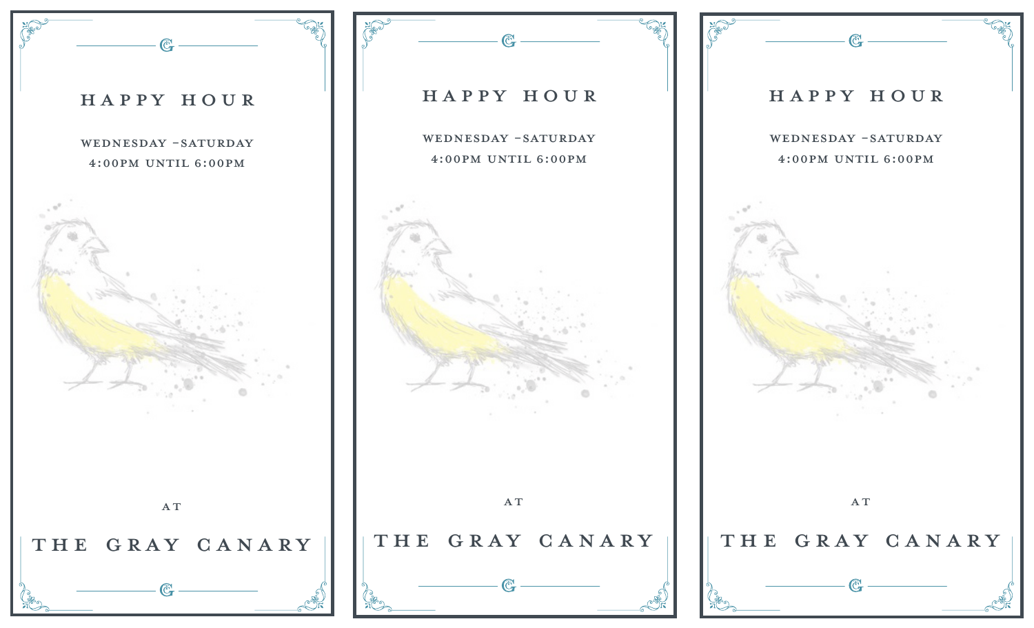